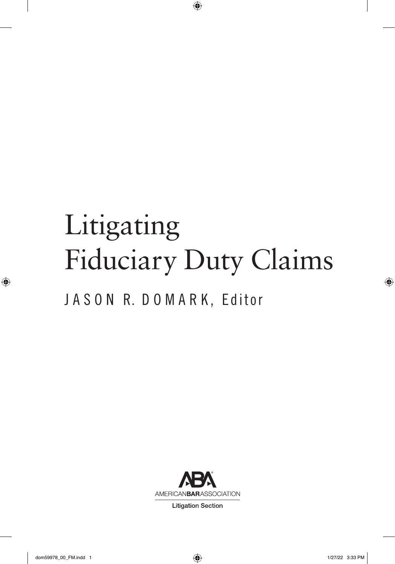# Litigating Fiduciary Duty Claims

 $\bigoplus$ 

J A S O N R. D O M A R K, Editor



**Litigation Section** 

 $\bigcirc$ 

 $\bigoplus$ 

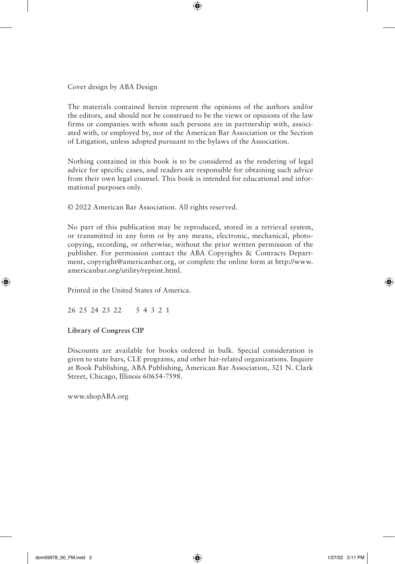Cover design by ABA Design

The materials contained herein represent the opinions of the authors and/or the editors, and should not be construed to be the views or opinions of the law firms or companies with whom such persons are in partnership with, associated with, or employed by, nor of the American Bar Association or the Section of Litigation, unless adopted pursuant to the bylaws of the Association.

⊕

Nothing contained in this book is to be considered as the rendering of legal advice for specific cases, and readers are responsible for obtaining such advice from their own legal counsel. This book is intended for educational and informational purposes only.

© 2022 American Bar Association. All rights reserved.

No part of this publication may be reproduced, stored in a retrieval system, or transmitted in any form or by any means, electronic, mechanical, photocopying, recording, or otherwise, without the prior written permission of the publisher. For permission contact the ABA Copyrights & Contracts Department, copyright@americanbar.org, or complete the online form at http://www. americanbar.org/utility/reprint.html.

Printed in the United States of America.

26 25 24 23 22 5 4 3 2 1

#### **Library of Congress CIP**

⊕

Discounts are available for books ordered in bulk. Special consideration is given to state bars, CLE programs, and other bar-related organizations. Inquire at Book Publishing, ABA Publishing, American Bar Association, 321 N. Clark Street, Chicago, Illinois 60654-7598.

www.shopABA.org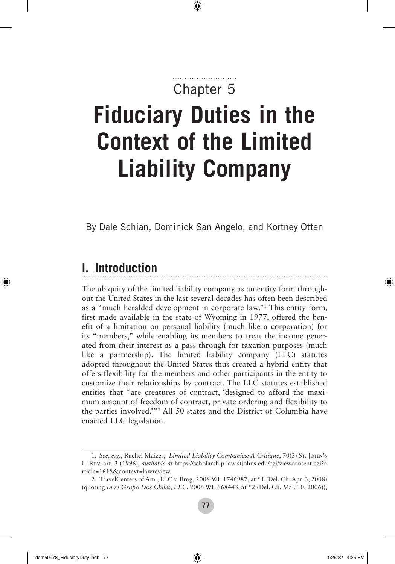# Chapter 5

⊕

# **Fiduciary Duties in the Context of the Limited Liability Company**

By Dale Schian, Dominick San Angelo, and Kortney Otten

# **I. Introduction**

◈

The ubiquity of the limited liability company as an entity form throughout the United States in the last several decades has often been described as a "much heralded development in corporate law."1 This entity form, first made available in the state of Wyoming in 1977, offered the benefit of a limitation on personal liability (much like a corporation) for its "members," while enabling its members to treat the income generated from their interest as a pass-through for taxation purposes (much like a partnership). The limited liability company (LLC) statutes adopted throughout the United States thus created a hybrid entity that offers flexibility for the members and other participants in the entity to customize their relationships by contract. The LLC statutes established entities that "are creatures of contract, 'designed to afford the maximum amount of freedom of contract, private ordering and flexibility to the parties involved.'"2 All 50 states and the District of Columbia have enacted LLC legislation.

<sup>1.</sup> *See, e.g.*, Rachel Maizes, *Limited Liability Companies: A Critique*, 70(3) St. John's L. Rev. art. 3 (1996), *available at* https://scholarship.law.stjohns.edu/cgi/viewcontent.cgi?a rticle=1618&context=lawreview.

<sup>2.</sup> TravelCenters of Am., LLC v. Brog, 2008 WL 1746987, at \*1 (Del. Ch. Apr. 3, 2008) (quoting *In re Grupo Dos Chiles, LLC*, 2006 WL 668443, at \*2 (Del. Ch. Mar. 10, 2006));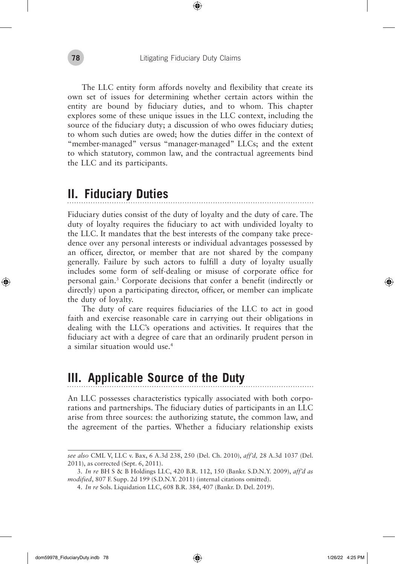The LLC entity form affords novelty and flexibility that create its own set of issues for determining whether certain actors within the entity are bound by fiduciary duties, and to whom. This chapter explores some of these unique issues in the LLC context, including the source of the fiduciary duty; a discussion of who owes fiduciary duties; to whom such duties are owed; how the duties differ in the context of "member-managed" versus "manager-managed" LLCs; and the extent to which statutory, common law, and the contractual agreements bind the LLC and its participants.

### **II. Fiduciary Duties**

Fiduciary duties consist of the duty of loyalty and the duty of care. The duty of loyalty requires the fiduciary to act with undivided loyalty to the LLC. It mandates that the best interests of the company take precedence over any personal interests or individual advantages possessed by an officer, director, or member that are not shared by the company generally. Failure by such actors to fulfill a duty of loyalty usually includes some form of self-dealing or misuse of corporate office for personal gain.3 Corporate decisions that confer a benefit (indirectly or directly) upon a participating director, officer, or member can implicate the duty of loyalty.

The duty of care requires fiduciaries of the LLC to act in good faith and exercise reasonable care in carrying out their obligations in dealing with the LLC's operations and activities. It requires that the fiduciary act with a degree of care that an ordinarily prudent person in a similar situation would use.4

# **III. Applicable Source of the Duty**

An LLC possesses characteristics typically associated with both corporations and partnerships. The fiduciary duties of participants in an LLC arise from three sources: the authorizing statute, the common law, and the agreement of the parties. Whether a fiduciary relationship exists

◈

*see also* CML V, LLC v. Bax, 6 A.3d 238, 250 (Del. Ch. 2010), *aff'd,* 28 A.3d 1037 (Del. 2011), as corrected (Sept. 6, 2011).

<sup>3.</sup> *In re* BH S & B Holdings LLC, 420 B.R. 112, 150 (Bankr. S.D.N.Y. 2009), *aff'd as modified*, 807 F. Supp. 2d 199 (S.D.N.Y. 2011) (internal citations omitted).

<sup>4.</sup> *In re* Sols. Liquidation LLC, 608 B.R. 384, 407 (Bankr. D. Del. 2019).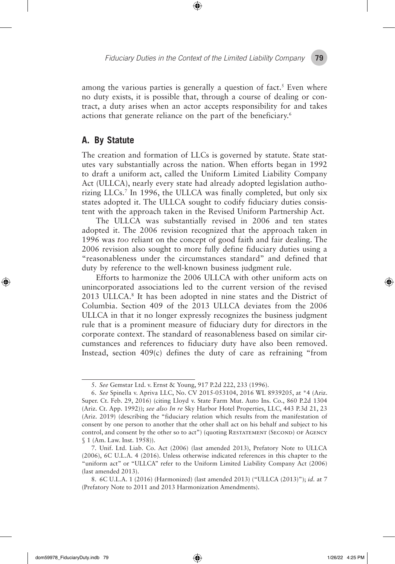among the various parties is generally a question of fact.<sup>5</sup> Even where no duty exists, it is possible that, through a course of dealing or contract, a duty arises when an actor accepts responsibility for and takes actions that generate reliance on the part of the beneficiary.<sup>6</sup>

#### **A. By Statute**

The creation and formation of LLCs is governed by statute. State statutes vary substantially across the nation. When efforts began in 1992 to draft a uniform act, called the Uniform Limited Liability Company Act (ULLCA), nearly every state had already adopted legislation authorizing LLCs.7 In 1996, the ULLCA was finally completed, but only six states adopted it. The ULLCA sought to codify fiduciary duties consistent with the approach taken in the Revised Uniform Partnership Act.

The ULLCA was substantially revised in 2006 and ten states adopted it. The 2006 revision recognized that the approach taken in 1996 was *too* reliant on the concept of good faith and fair dealing. The 2006 revision also sought to more fully define fiduciary duties using a "reasonableness under the circumstances standard" and defined that duty by reference to the well-known business judgment rule.

Efforts to harmonize the 2006 ULLCA with other uniform acts on unincorporated associations led to the current version of the revised 2013 ULLCA.<sup>8</sup> It has been adopted in nine states and the District of Columbia. Section 409 of the 2013 ULLCA deviates from the 2006 ULLCA in that it no longer expressly recognizes the business judgment rule that is a prominent measure of fiduciary duty for directors in the corporate context. The standard of reasonableness based on similar circumstances and references to fiduciary duty have also been removed. Instead, section 409(c) defines the duty of care as refraining "from

◈

<sup>5.</sup> *See* Gemstar Ltd. v. Ernst & Young, 917 P.2d 222, 233 (1996).

<sup>6.</sup> *See* Spinella v. Apriva LLC, No. CV 2015-053104, 2016 WL 8939205, at \*4 (Ariz. Super. Ct. Feb. 29, 2016) (citing Lloyd v. State Farm Mut. Auto Ins. Co., 860 P.2d 1304 (Ariz. Ct. App. 1992)); *see also In re* Sky Harbor Hotel Properties, LLC, 443 P.3d 21, 23 (Ariz. 2019) (describing the "fiduciary relation which results from the manifestation of consent by one person to another that the other shall act on his behalf and subject to his control, and consent by the other so to act") (quoting RESTATEMENT (SECOND) OF AGENCY § 1 (Am. Law. Inst. 1958)).

<sup>7.</sup> Unif. Ltd. Liab. Co. Act (2006) (last amended 2013), Prefatory Note to ULLCA (2006), 6C U.L.A. 4 (2016). Unless otherwise indicated references in this chapter to the "uniform act" or "ULLCA" refer to the Uniform Limited Liability Company Act (2006) (last amended 2013).

<sup>8.</sup> 6C U.L.A. 1 (2016) (Harmonized) (last amended 2013) ("ULLCA (2013)"); *id.* at 7 (Prefatory Note to 2011 and 2013 Harmonization Amendments).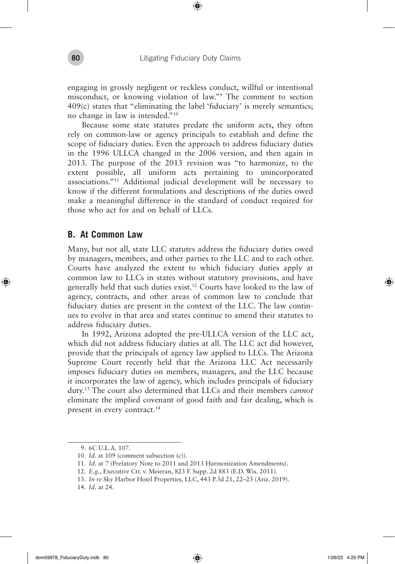engaging in grossly negligent or reckless conduct, willful or intentional misconduct, or knowing violation of law."9 The comment to section 409(c) states that "eliminating the label 'fiduciary' is merely semantics; no change in law is intended."10

Because some state statutes predate the uniform acts, they often rely on common-law or agency principals to establish and define the scope of fiduciary duties. Even the approach to address fiduciary duties in the 1996 ULLCA changed in the 2006 version, and then again in 2013. The purpose of the 2013 revision was "to harmonize, to the extent possible, all uniform acts pertaining to unincorporated associations."11 Additional judicial development will be necessary to know if the different formulations and descriptions of the duties owed make a meaningful difference in the standard of conduct required for those who act for and on behalf of LLCs.

#### **B. At Common Law**

◈

Many, but not all, state LLC statutes address the fiduciary duties owed by managers, members, and other parties to the LLC and to each other. Courts have analyzed the extent to which fiduciary duties apply at common law to LLCs in states without statutory provisions, and have generally held that such duties exist.12 Courts have looked to the law of agency, contracts, and other areas of common law to conclude that fiduciary duties are present in the context of the LLC. The law continues to evolve in that area and states continue to amend their statutes to address fiduciary duties.

In 1992, Arizona adopted the pre-ULLCA version of the LLC act, which did not address fiduciary duties at all. The LLC act did however, provide that the principals of agency law applied to LLCs. The Arizona Supreme Court recently held that the Arizona LLC Act necessarily imposes fiduciary duties on members, managers, and the LLC because it incorporates the law of agency, which includes principals of fiduciary duty.13 The court also determined that LLCs and their members *cannot* eliminate the implied covenant of good faith and fair dealing, which is present in every contract.<sup>14</sup>

<sup>9.</sup> 6C U.L.A. 107.

<sup>10.</sup> *Id.* at 109 (comment subsection (c)).

<sup>11.</sup> *Id.* at 7 (Prefatory Note to 2011 and 2013 Harmonization Amendments).

<sup>12.</sup> *E.g.*, Executive Ctr. v. Meieran, 823 F. Supp. 2d 883 (E.D. Wis. 2011).

<sup>13.</sup> *In re* Sky Harbor Hotel Properties, LLC, 443 P.3d 21, 22–23 (Ariz. 2019).

<sup>14.</sup> *Id.* at 24.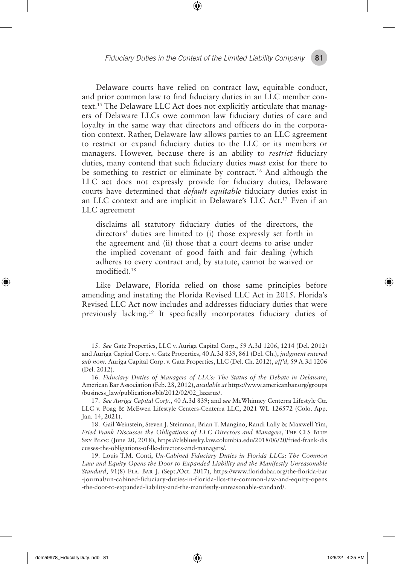*Fiduciary Duties in the Context of the Limited Liability Company* **81**

Delaware courts have relied on contract law, equitable conduct, and prior common law to find fiduciary duties in an LLC member context.15 The Delaware LLC Act does not explicitly articulate that managers of Delaware LLCs owe common law fiduciary duties of care and loyalty in the same way that directors and officers do in the corporation context. Rather, Delaware law allows parties to an LLC agreement to restrict or expand fiduciary duties to the LLC or its members or managers. However, because there is an ability to *restrict* fiduciary duties, many contend that such fiduciary duties *must* exist for there to be something to restrict or eliminate by contract.16 And although the LLC act does not expressly provide for fiduciary duties, Delaware courts have determined that *default equitable* fiduciary duties exist in an LLC context and are implicit in Delaware's LLC Act.17 Even if an LLC agreement

disclaims all statutory fiduciary duties of the directors, the directors' duties are limited to (i) those expressly set forth in the agreement and (ii) those that a court deems to arise under the implied covenant of good faith and fair dealing (which adheres to every contract and, by statute, cannot be waived or modified).18

Like Delaware, Florida relied on those same principles before amending and instating the Florida Revised LLC Act in 2015. Florida's Revised LLC Act now includes and addresses fiduciary duties that were previously lacking.19 It specifically incorporates fiduciary duties of

<sup>15.</sup> *See* Gatz Properties, LLC v. Auriga Capital Corp., 59 A.3d 1206, 1214 (Del. 2012) and Auriga Capital Corp. v. Gatz Properties, 40 A.3d 839, 861 (Del. Ch.), *judgment entered sub nom.* Auriga Capital Corp. v. Gatz Properties, LLC (Del. Ch. 2012), *aff'd,* 59 A.3d 1206 (Del. 2012).

<sup>16.</sup> *Fiduciary Duties of Managers of LLCs: The Status of the Debate in Delaware*, American Bar Association (Feb. 28, 2012), *available at* https://www.americanbar.org/groups /business\_law/publications/blt/2012/02/02\_lazarus/.

<sup>17.</sup> *See Auriga Capital Corp*., 40 A.3d 839; and *see* McWhinney Centerra Lifestyle Ctr. LLC v. Poag & McEwen Lifestyle Centers-Centerra LLC, 2021 WL 126572 (Colo. App. Jan. 14, 2021).

<sup>18.</sup> Gail Weinstein, Steven J. Steinman, Brian T. Mangino, Randi Lally & Maxwell Yim, *Fried Frank Discusses the Obligations of LLC Directors and Managers*, The CLS Blue Sky Blog (June 20, 2018), https://clsbluesky.law.columbia.edu/2018/06/20/fried-frank-dis cusses-the-obligations-of-llc-directors-and-managers/.

<sup>19.</sup> Louis T.M. Conti, *Un-Cabined Fiduciary Duties in Florida LLCs: The Common Law and Equity Opens the Door to Expanded Liability and the Manifestly Unreasonable Standard*, 91(8) Fla. Bar J. (Sept./Oct. 2017), https://www.floridabar.org/the-florida-bar -journal/un-cabined-fiduciary-duties-in-florida-llcs-the-common-law-and-equity-opens -the-door-to-expanded-liability-and-the-manifestly-unreasonable-standard/.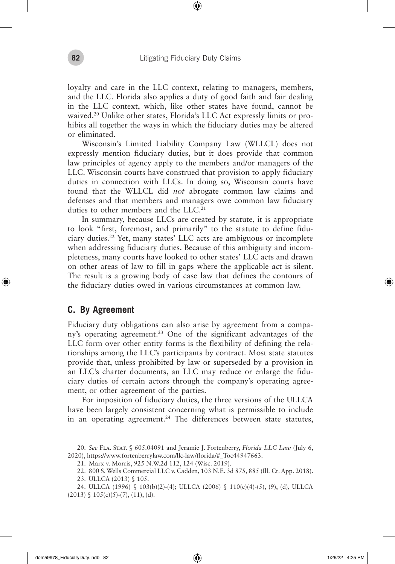loyalty and care in the LLC context, relating to managers, members, and the LLC. Florida also applies a duty of good faith and fair dealing in the LLC context, which, like other states have found, cannot be waived.<sup>20</sup> Unlike other states, Florida's LLC Act expressly limits or prohibits all together the ways in which the fiduciary duties may be altered or eliminated.

Wisconsin's Limited Liability Company Law (WLLCL) does not expressly mention fiduciary duties, but it does provide that common law principles of agency apply to the members and/or managers of the LLC. Wisconsin courts have construed that provision to apply fiduciary duties in connection with LLCs. In doing so, Wisconsin courts have found that the WLLCL did *not* abrogate common law claims and defenses and that members and managers owe common law fiduciary duties to other members and the LLC.<sup>21</sup>

In summary, because LLCs are created by statute, it is appropriate to look "first, foremost, and primarily" to the statute to define fiduciary duties.22 Yet, many states' LLC acts are ambiguous or incomplete when addressing fiduciary duties. Because of this ambiguity and incompleteness, many courts have looked to other states' LLC acts and drawn on other areas of law to fill in gaps where the applicable act is silent. The result is a growing body of case law that defines the contours of the fiduciary duties owed in various circumstances at common law.

#### **C. By Agreement**

◈

Fiduciary duty obligations can also arise by agreement from a company's operating agreement.<sup>23</sup> One of the significant advantages of the LLC form over other entity forms is the flexibility of defining the relationships among the LLC's participants by contract. Most state statutes provide that, unless prohibited by law or superseded by a provision in an LLC's charter documents, an LLC may reduce or enlarge the fiduciary duties of certain actors through the company's operating agreement, or other agreement of the parties.

For imposition of fiduciary duties, the three versions of the ULLCA have been largely consistent concerning what is permissible to include in an operating agreement.<sup>24</sup> The differences between state statutes,

<sup>20.</sup> *See* Fla. Stat. § 605.04091 and Jeramie J. Fortenberry, *Florida LLC Law* (July 6, 2020), https://www.fortenberrylaw.com/llc-law/florida/#\_Toc44947663.

<sup>21.</sup> Marx v. Morris, 925 N.W.2d 112, 124 (Wisc. 2019).

<sup>22.</sup> 800 S. Wells Commercial LLC v. Cadden, 103 N.E. 3d 875, 885 (Ill. Ct. App. 2018).

<sup>23.</sup> ULLCA (2013) § 105.

<sup>24.</sup> ULLCA (1996) § 103(b)(2)-(4); ULLCA (2006) § 110(c)(4)-(5), (9), (d), ULLCA  $(2013)$  §  $105(c)(5)-(7)$ ,  $(11)$ ,  $(d)$ .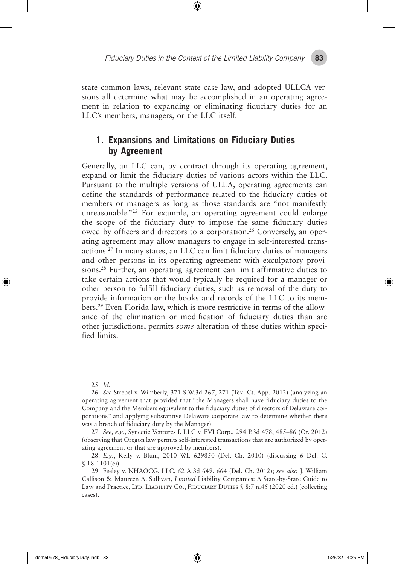*Fiduciary Duties in the Context of the Limited Liability Company* **83**

#### state common laws, relevant state case law, and adopted ULLCA versions all determine what may be accomplished in an operating agreement in relation to expanding or eliminating fiduciary duties for an LLC's members, managers, or the LLC itself.

#### **1. Expansions and Limitations on Fiduciary Duties by Agreement**

Generally, an LLC can, by contract through its operating agreement, expand or limit the fiduciary duties of various actors within the LLC. Pursuant to the multiple versions of ULLA, operating agreements can define the standards of performance related to the fiduciary duties of members or managers as long as those standards are "not manifestly unreasonable."<sup>25</sup> For example, an operating agreement could enlarge the scope of the fiduciary duty to impose the same fiduciary duties owed by officers and directors to a corporation.26 Conversely, an operating agreement may allow managers to engage in self-interested transactions.27 In many states, an LLC can limit fiduciary duties of managers and other persons in its operating agreement with exculpatory provisions.28 Further, an operating agreement can limit affirmative duties to take certain actions that would typically be required for a manager or other person to fulfill fiduciary duties, such as removal of the duty to provide information or the books and records of the LLC to its members.29 Even Florida law, which is more restrictive in terms of the allowance of the elimination or modification of fiduciary duties than are other jurisdictions, permits *some* alteration of these duties within specified limits.

◈

⊕

<sup>25.</sup> *Id.*

<sup>26.</sup> *See* Strebel v. Wimberly, 371 S.W.3d 267, 271 (Tex. Ct. App. 2012) (analyzing an operating agreement that provided that "the Managers shall have fiduciary duties to the Company and the Members equivalent to the fiduciary duties of directors of Delaware corporations" and applying substantive Delaware corporate law to determine whether there was a breach of fiduciary duty by the Manager).

<sup>27.</sup> *See, e.g.*, Synectic Ventures I, LLC v. EVI Corp., 294 P.3d 478, 485–86 (Or. 2012) (observing that Oregon law permits self-interested transactions that are authorized by operating agreement or that are approved by members).

<sup>28.</sup> *E.g.*, Kelly v. Blum, 2010 WL 629850 (Del. Ch. 2010) (discussing 6 Del. C.  $$18-1101(e)$ ).

<sup>29.</sup> Feeley v. NHAOCG, LLC, 62 A.3d 649, 664 (Del. Ch. 2012); *see also* J. William Callison & Maureen A. Sullivan, *Limited* Liability Companies: A State-by-State Guide to Law and Practice, LTD. LIABILITY CO., FIDUCIARY DUTIES § 8:7 n.45 (2020 ed.) (collecting cases).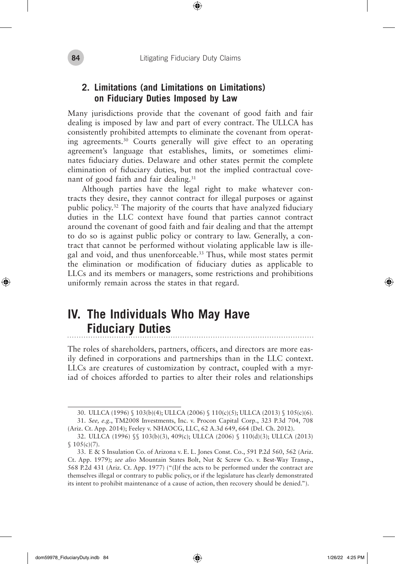#### **2. Limitations (and Limitations on Limitations) on Fiduciary Duties Imposed by Law**

Many jurisdictions provide that the covenant of good faith and fair dealing is imposed by law and part of every contract. The ULLCA has consistently prohibited attempts to eliminate the covenant from operating agreements.30 Courts generally will give effect to an operating agreement's language that establishes, limits, or sometimes eliminates fiduciary duties. Delaware and other states permit the complete elimination of fiduciary duties, but not the implied contractual covenant of good faith and fair dealing.<sup>31</sup>

Although parties have the legal right to make whatever contracts they desire, they cannot contract for illegal purposes or against public policy.32 The majority of the courts that have analyzed fiduciary duties in the LLC context have found that parties cannot contract around the covenant of good faith and fair dealing and that the attempt to do so is against public policy or contrary to law. Generally, a contract that cannot be performed without violating applicable law is illegal and void, and thus unenforceable.33 Thus, while most states permit the elimination or modification of fiduciary duties as applicable to LLCs and its members or managers, some restrictions and prohibitions uniformly remain across the states in that regard.

#### **IV. The Individuals Who May Have Fiduciary Duties** . . . . . . . . . . . . . . .

The roles of shareholders, partners, officers, and directors are more easily defined in corporations and partnerships than in the LLC context. LLCs are creatures of customization by contract, coupled with a myriad of choices afforded to parties to alter their roles and relationships

↔

⊕

<sup>30.</sup> ULLCA (1996) § 103(b)(4); ULLCA (2006) § 110(c)(5); ULLCA (2013) § 105(c)(6). 31. *See, e.g.*, TM2008 Investments, Inc. v. Procon Capital Corp., 323 P.3d 704, 708

<sup>(</sup>Ariz. Ct. App. 2014); Feeley v. NHAOCG, LLC, 62 A.3d 649, 664 (Del. Ch. 2012).

<sup>32.</sup> ULLCA (1996) §§ 103(b)(3), 409(c); ULLCA (2006) § 110(d)(3); ULLCA (2013)  $$105(c)(7).$ 

<sup>33.</sup> E & S Insulation Co. of Arizona v. E. L. Jones Const. Co., 591 P.2d 560, 562 (Ariz. Ct. App. 1979); *see also* Mountain States Bolt, Nut & Screw Co. v. Best-Way Transp., 568 P.2d 431 (Ariz. Ct. App. 1977) ("(I)f the acts to be performed under the contract are themselves illegal or contrary to public policy, or if the legislature has clearly demonstrated its intent to prohibit maintenance of a cause of action, then recovery should be denied.").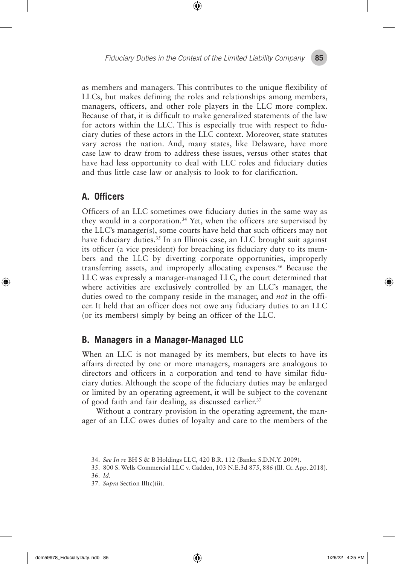as members and managers. This contributes to the unique flexibility of LLCs, but makes defining the roles and relationships among members, managers, officers, and other role players in the LLC more complex. Because of that, it is difficult to make generalized statements of the law for actors within the LLC. This is especially true with respect to fiduciary duties of these actors in the LLC context. Moreover, state statutes vary across the nation. And, many states, like Delaware, have more case law to draw from to address these issues, versus other states that have had less opportunity to deal with LLC roles and fiduciary duties and thus little case law or analysis to look to for clarification.

#### **A. Officers**

◈

Officers of an LLC sometimes owe fiduciary duties in the same way as they would in a corporation.<sup>34</sup> Yet, when the officers are supervised by the LLC's manager(s), some courts have held that such officers may not have fiduciary duties.<sup>35</sup> In an Illinois case, an LLC brought suit against its officer (a vice president) for breaching its fiduciary duty to its members and the LLC by diverting corporate opportunities, improperly transferring assets, and improperly allocating expenses.36 Because the LLC was expressly a manager-managed LLC, the court determined that where activities are exclusively controlled by an LLC's manager, the duties owed to the company reside in the manager, and *not* in the officer. It held that an officer does not owe any fiduciary duties to an LLC (or its members) simply by being an officer of the LLC.

#### **B. Managers in a Manager-Managed LLC**

When an LLC is not managed by its members, but elects to have its affairs directed by one or more managers, managers are analogous to directors and officers in a corporation and tend to have similar fiduciary duties. Although the scope of the fiduciary duties may be enlarged or limited by an operating agreement, it will be subject to the covenant of good faith and fair dealing, as discussed earlier.<sup>37</sup>

Without a contrary provision in the operating agreement, the manager of an LLC owes duties of loyalty and care to the members of the

<sup>34.</sup> *See In re* BH S & B Holdings LLC, 420 B.R. 112 (Bankr. S.D.N.Y. 2009).

<sup>35.</sup> 800 S. Wells Commercial LLC v. Cadden, 103 N.E.3d 875, 886 (Ill. Ct. App. 2018).

<sup>36.</sup> *Id.*

<sup>37.</sup> *Supra* Section III(c)(ii).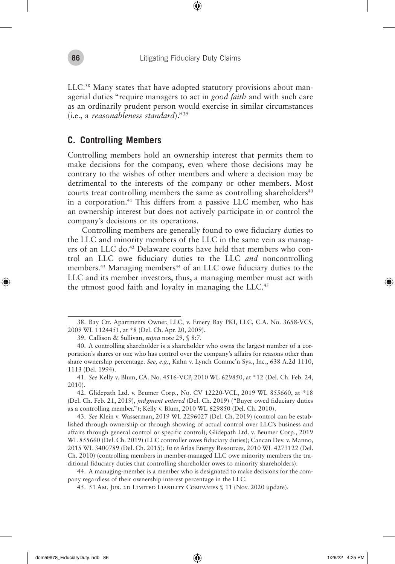LLC.38 Many states that have adopted statutory provisions about managerial duties "require managers to act in *good faith* and with such care as an ordinarily prudent person would exercise in similar circumstances (i.e., a *reasonableness standard*)."39

#### **C. Controlling Members**

Controlling members hold an ownership interest that permits them to make decisions for the company, even where those decisions may be contrary to the wishes of other members and where a decision may be detrimental to the interests of the company or other members. Most courts treat controlling members the same as controlling shareholders $40$ in a corporation.41 This differs from a passive LLC member, who has an ownership interest but does not actively participate in or control the company's decisions or its operations.

Controlling members are generally found to owe fiduciary duties to the LLC and minority members of the LLC in the same vein as managers of an LLC do.<sup>42</sup> Delaware courts have held that members who control an LLC owe fiduciary duties to the LLC *and* noncontrolling members.<sup>43</sup> Managing members<sup>44</sup> of an LLC owe fiduciary duties to the LLC and its member investors, thus, a managing member must act with the utmost good faith and loyalty in managing the LLC.<sup>45</sup>

◈

<sup>38.</sup> Bay Ctr. Apartments Owner, LLC, v. Emery Bay PKI, LLC, C.A. No. 3658-VCS, 2009 WL 1124451, at \*8 (Del. Ch. Apr. 20, 2009).

<sup>39.</sup> Callison & Sullivan, *supra* note 29, § 8:7.

<sup>40.</sup> A controlling shareholder is a shareholder who owns the largest number of a corporation's shares or one who has control over the company's affairs for reasons other than share ownership percentage. *See, e.g.*, Kahn v. Lynch Commc'n Sys., Inc*.*, 638 A.2d 1110, 1113 (Del. 1994).

<sup>41.</sup> *See* Kelly v. Blum, CA. No. 4516-VCP, 2010 WL 629850, at \*12 (Del. Ch. Feb. 24, 2010).

<sup>42.</sup> Glidepath Ltd. v. Beumer Corp., No. CV 12220-VCL, 2019 WL 855660, at \*18 (Del. Ch. Feb. 21, 2019), *judgment entered* (Del. Ch. 2019) ("Buyer owed fiduciary duties as a controlling member."); Kelly v. Blum, 2010 WL 629850 (Del. Ch. 2010).

<sup>43.</sup> *See* Klein v. Wasserman, 2019 WL 2296027 (Del. Ch. 2019) (control can be established through ownership or through showing of actual control over LLC's business and affairs through general control or specific control); Glidepath Ltd. v. Beumer Corp., 2019 WL 855660 (Del. Ch. 2019) (LLC controller owes fiduciary duties); Cancan Dev. v. Manno, 2015 WL 3400789 (Del. Ch. 2015); *In re* Atlas Energy Resources, 2010 WL 4273122 (Del. Ch. 2010) (controlling members in member-managed LLC owe minority members the traditional fiduciary duties that controlling shareholder owes to minority shareholders).

<sup>44.</sup> A managing-member is a member who is designated to make decisions for the company regardless of their ownership interest percentage in the LLC.

<sup>45.</sup> 51 Am. Jur. 2d Limited Liability Companies § 11 (Nov. 2020 update).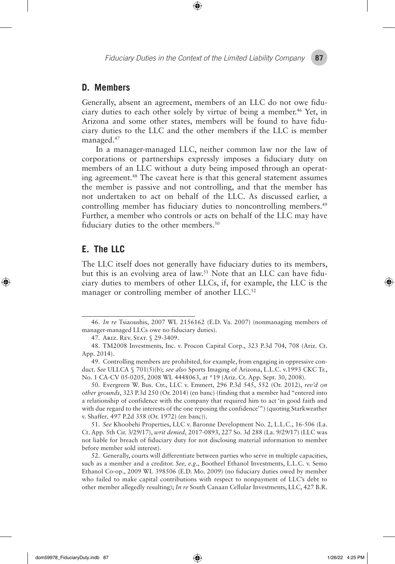*Fiduciary Duties in the Context of the Limited Liability Company* **87**

#### **D. Members**

Generally, absent an agreement, members of an LLC do not owe fiduciary duties to each other solely by virtue of being a member.46 Yet, in Arizona and some other states, members will be found to have fiduciary duties to the LLC and the other members if the LLC is member managed.47

In a manager-managed LLC, neither common law nor the law of corporations or partnerships expressly imposes a fiduciary duty on members of an LLC without a duty being imposed through an operating agreement.48 The caveat here is that this general statement assumes the member is passive and not controlling, and that the member has not undertaken to act on behalf of the LLC. As discussed earlier, a controlling member has fiduciary duties to noncontrolling members.<sup>49</sup> Further, a member who controls or acts on behalf of the LLC may have fiduciary duties to the other members.<sup>50</sup>

#### **E. The LLC**

↔

The LLC itself does not generally have fiduciary duties to its members, but this is an evolving area of law.51 Note that an LLC can have fiduciary duties to members of other LLCs, if, for example, the LLC is the manager or controlling member of another LLC.<sup>52</sup>

50. Evergreen W. Bus. Ctr., LLC v. Emmert, 296 P.3d 545, 552 (Or. 2012), *rev'd on other grounds*, 323 P.3d 250 (Or. 2014) (en banc) (finding that a member had "entered into a relationship of confidence with the company that required him to act 'in good faith and with due regard to the interests of the one reposing the confidence'") (quoting Starkweather v. Shaffer*,* 497 P.2d 358 (Or. 1972) (en banc)).

51. *See* Khoobehi Properties, LLC v. Baronne Development No. 2, L.L.C., 16-506 (La. Ct. App. 5th Cir. 3/29/17), *writ denied*, 2017-0893, 227 So. 3d 288 (La. 9/29/17) (LLC was not liable for breach of fiduciary duty for not disclosing material information to member before member sold interest).

52. Generally, courts will differentiate between parties who serve in multiple capacities, such as a member and a creditor. *See, e.g.*, Bootheel Ethanol Investments, L.L.C. v. Semo Ethanol Co-op., 2009 WL 398506 (E.D. Mo. 2009) (no fiduciary duties owed by member who failed to make capital contributions with respect to nonpayment of LLC's debt to other member allegedly resulting); *In re* South Canaan Cellular Investments, LLC, 427 B.R.

<sup>46.</sup> *In re* Tsiaoushis, 2007 WL 2156162 (E.D. Va. 2007) (nonmanaging members of manager-managed LLCs owe no fiduciary duties).

<sup>47.</sup> Ariz. Rev. Stat. § 29-3409.

<sup>48.</sup> TM2008 Investments, Inc. v. Procon Capital Corp., 323 P.3d 704, 708 (Ariz. Ct. App. 2014).

<sup>49.</sup> Controlling members are prohibited, for example, from engaging in oppressive conduct. *See* ULLCA § 701(5)(b); *see also* Sports Imaging of Arizona, L.L.C. v.1993 CKC Tr., No. 1 CA-CV 05-0205, 2008 WL 4448063, at \*19 (Ariz. Ct. App. Sept. 30, 2008).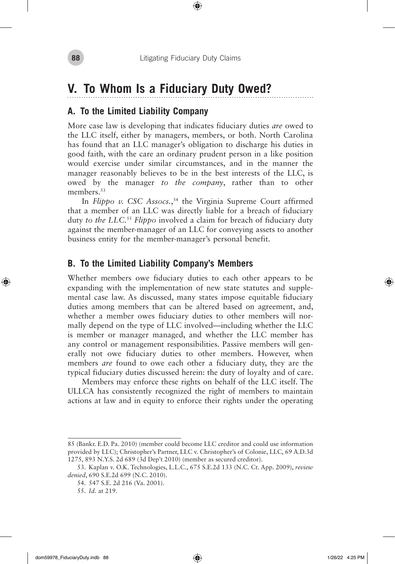# **V. To Whom Is a Fiduciary Duty Owed?**

#### **A. To the Limited Liability Company**

More case law is developing that indicates fiduciary duties *are* owed to the LLC itself, either by managers, members, or both. North Carolina has found that an LLC manager's obligation to discharge his duties in good faith, with the care an ordinary prudent person in a like position would exercise under similar circumstances, and in the manner the manager reasonably believes to be in the best interests of the LLC, is owed by the manager *to the company*, rather than to other members.<sup>53</sup>

In *Flippo v. CSC Assocs.*, 54 the Virginia Supreme Court affirmed that a member of an LLC was directly liable for a breach of fiduciary duty *to the LLC.*<sup>55</sup> *Flippo* involved a claim for breach of fiduciary duty against the member-manager of an LLC for conveying assets to another business entity for the member-manager's personal benefit.

#### **B. To the Limited Liability Company's Members**

Whether members owe fiduciary duties to each other appears to be expanding with the implementation of new state statutes and supplemental case law. As discussed, many states impose equitable fiduciary duties among members that can be altered based on agreement, and, whether a member owes fiduciary duties to other members will normally depend on the type of LLC involved—including whether the LLC is member or manager managed, and whether the LLC member has any control or management responsibilities. Passive members will generally not owe fiduciary duties to other members. However, when members *are* found to owe each other a fiduciary duty, they are the typical fiduciary duties discussed herein: the duty of loyalty and of care.

Members may enforce these rights on behalf of the LLC itself. The ULLCA has consistently recognized the right of members to maintain actions at law and in equity to enforce their rights under the operating

◈

<sup>85 (</sup>Bankr. E.D. Pa. 2010) (member could become LLC creditor and could use information provided by LLC); Christopher's Partner, LLC v. Christopher's of Colonie, LLC, 69 A.D.3d 1275, 893 N.Y.S. 2d 689 (3d Dep't 2010) (member as secured creditor).

<sup>53.</sup> Kaplan v. O.K. Technologies, L.L.C., 675 S.E.2d 133 (N.C. Ct. App. 2009), *review denied*, 690 S.E.2d 699 (N.C. 2010).

<sup>54.</sup> 547 S.E. 2d 216 (Va. 2001).

<sup>55.</sup> *Id.* at 219.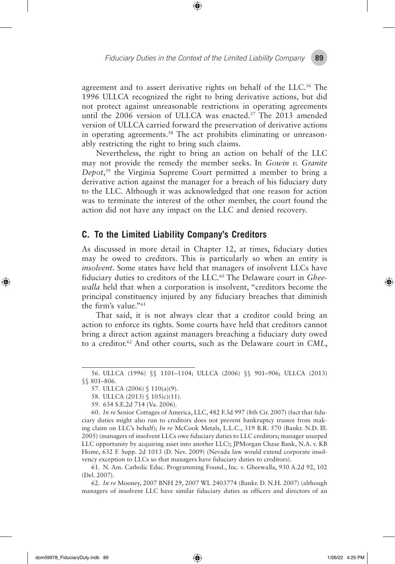agreement and to assert derivative rights on behalf of the LLC.<sup>56</sup> The 1996 ULLCA recognized the right to bring derivative actions, but did not protect against unreasonable restrictions in operating agreements until the 2006 version of ULLCA was enacted.<sup>57</sup> The 2013 amended version of ULLCA carried forward the preservation of derivative actions in operating agreements.<sup>58</sup> The act prohibits eliminating or unreasonably restricting the right to bring such claims.

Nevertheless, the right to bring an action on behalf of the LLC may not provide the remedy the member seeks. In *Gowin v. Granite Depot*, 59 the Virginia Supreme Court permitted a member to bring a derivative action against the manager for a breach of his fiduciary duty to the LLC. Although it was acknowledged that one reason for action was to terminate the interest of the other member, the court found the action did not have any impact on the LLC and denied recovery.

#### **C. To the Limited Liability Company's Creditors**

As discussed in more detail in Chapter 12, at times, fiduciary duties may be owed to creditors. This is particularly so when an entity is *insolvent*. Some states have held that managers of insolvent LLCs have fiduciary duties to creditors of the LLC.60 The Delaware court in *Gheewalla* held that when a corporation is insolvent, "creditors become the principal constituency injured by any fiduciary breaches that diminish the firm's value."61

That said, it is not always clear that a creditor could bring an action to enforce its rights. Some courts have held that creditors cannot bring a direct action against managers breaching a fiduciary duty owed to a creditor.62 And other courts, such as the Delaware court in *CML*,

62. *In re* Mooney, 2007 BNH 29, 2007 WL 2403774 (Bankr. D. N.H. 2007) (although managers of insolvent LLC have similar fiduciary duties as officers and directors of an

dom59978\_FiduciaryDuty.indb 89 1/26/22 4:25 PM

◈

<sup>56.</sup> ULLCA (1996) §§ 1101–1104; ULLCA (2006) §§ 901–906; ULLCA (2013) §§ 801–806.

<sup>57.</sup> ULLCA (2006) § 110(a)(9).

<sup>58.</sup> ULLCA (2013) § 105(c)(11).

<sup>59.</sup> 634 S.E.2d 714 (Va. 2006).

<sup>60.</sup> *In re* Senior Cottages of America, LLC, 482 F.3d 997 (8th Cir. 2007) (fact that fiduciary duties might also run to creditors does not prevent bankruptcy trustee from making claim on LLC's behalf); *In re* McCook Metals, L.L.C., 319 B.R. 570 (Bankr. N.D. Ill. 2005) (managers of insolvent LLCs owe fiduciary duties to LLC creditors; manager usurped LLC opportunity by acquiring asset into another LLC); JPMorgan Chase Bank, N.A. v. KB Home, 632 F. Supp. 2d 1013 (D. Nev. 2009) (Nevada law would extend corporate insolvency exception to LLCs so that managers have fiduciary duties to creditors).

<sup>61.</sup> N. Am. Catholic Educ. Programming Found., Inc. v. Gheewalla, 930 A.2d 92, 102 (Del. 2007).